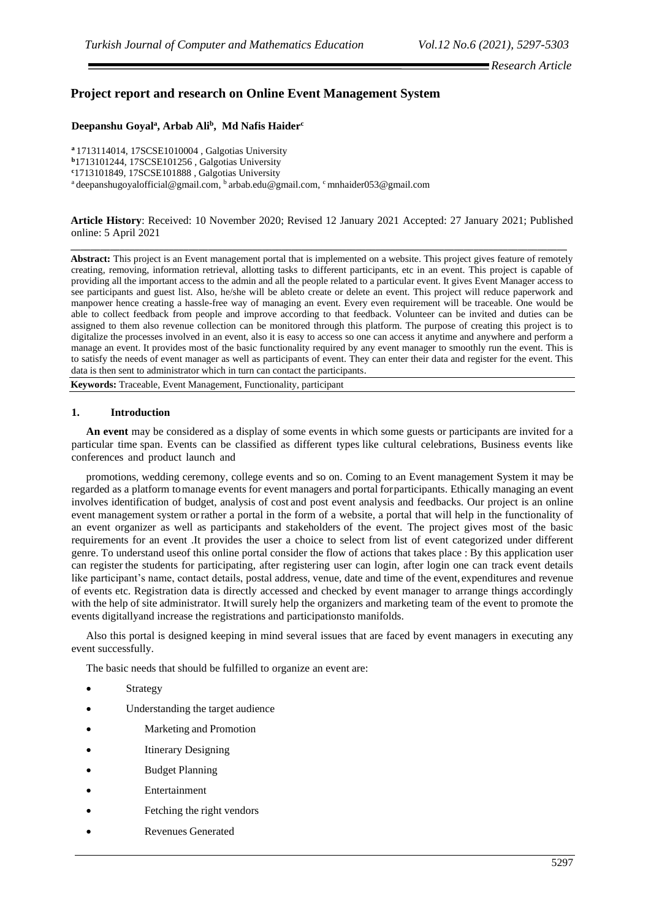# **Project report and research on Online Event Management System**

# **Deepanshu Goyal<sup>a</sup> , Arbab Ali<sup>b</sup> , Md Nafis Haider<sup>c</sup>**

**<sup>a</sup>**1713114014, 17SCSE1010004 , Galgotias University **<sup>b</sup>**1713101244, 17SCSE101256 , Galgotias University **<sup>c</sup>**1713101849, 17SCSE101888 , Galgotias University <sup>a</sup> deepanshugoyalofficial@gmail.com, <sup>b</sup> arbab.edu@gmail.com, <sup>c</sup> mnhaider053@gmail.com

**Article History**: Received: 10 November 2020; Revised 12 January 2021 Accepted: 27 January 2021; Published online: 5 April 2021

**\_\_\_\_\_\_\_\_\_\_\_\_\_\_\_\_\_\_\_\_\_\_\_\_\_\_\_\_\_\_\_\_\_\_\_\_\_\_\_\_\_\_\_\_\_\_\_\_\_\_\_\_\_\_\_\_\_\_\_\_\_\_\_\_\_\_\_\_\_\_\_\_\_\_\_\_\_\_\_\_\_\_\_\_\_\_\_\_\_\_\_\_\_\_\_\_\_\_\_\_\_**

**Abstract:** This project is an Event management portal that is implemented on a website. This project gives feature of remotely creating, removing, information retrieval, allotting tasks to different participants, etc in an event. This project is capable of providing all the important access to the admin and all the people related to a particular event. It gives Event Manager access to see participants and guest list. Also, he/she will be ableto create or delete an event. This project will reduce paperwork and manpower hence creating a hassle-free way of managing an event. Every even requirement will be traceable. One would be able to collect feedback from people and improve according to that feedback. Volunteer can be invited and duties can be assigned to them also revenue collection can be monitored through this platform. The purpose of creating this project is to digitalize the processes involved in an event, also it is easy to access so one can access it anytime and anywhere and perform a manage an event. It provides most of the basic functionality required by any event manager to smoothly run the event. This is to satisfy the needs of event manager as well as participants of event. They can enter their data and register for the event. This data is then sent to administrator which in turn can contact the participants.

**Keywords:** Traceable, Event Management, Functionality, participant

#### **1. Introduction**

**An event** may be considered as a display of some events in which some guests or participants are invited for a particular time span. Events can be classified as different types like cultural celebrations, Business events like conferences and product launch and

promotions, wedding ceremony, college events and so on. Coming to an Event management System it may be regarded as a platform tomanage events for event managers and portal forparticipants. Ethically managing an event involves identification of budget, analysis of cost and post event analysis and feedbacks. Our project is an online event management system orrather a portal in the form of a website, a portal that will help in the functionality of an event organizer as well as participants and stakeholders of the event. The project gives most of the basic requirements for an event .It provides the user a choice to select from list of event categorized under different genre. To understand useof this online portal consider the flow of actions that takes place : By this application user can register the students for participating, after registering user can login, after login one can track event details like participant's name, contact details, postal address, venue, date and time of the event, expenditures and revenue of events etc. Registration data is directly accessed and checked by event manager to arrange things accordingly with the help of site administrator. Itwill surely help the organizers and marketing team of the event to promote the events digitallyand increase the registrations and participationsto manifolds.

Also this portal is designed keeping in mind several issues that are faced by event managers in executing any event successfully.

The basic needs that should be fulfilled to organize an event are:

- **Strategy**
- Understanding the target audience
- Marketing and Promotion
- **Itinerary Designing**
- **Budget Planning**
- **Entertainment**
- Fetching the right vendors
- Revenues Generated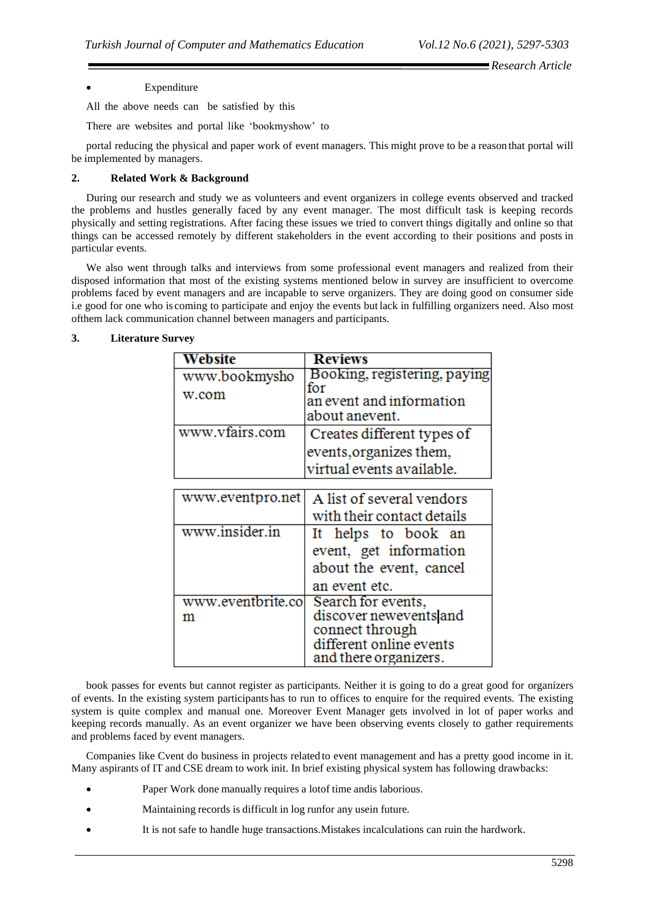#### **Expenditure**

All the above needs can be satisfied by this

There are websites and portal like 'bookmyshow' to

portal reducing the physical and paper work of event managers. This might prove to be a reason that portal will be implemented by managers.

#### **2. Related Work & Background**

During our research and study we as volunteers and event organizers in college events observed and tracked the problems and hustles generally faced by any event manager. The most difficult task is keeping records physically and setting registrations. After facing these issues we tried to convert things digitally and online so that things can be accessed remotely by different stakeholders in the event according to their positions and posts in particular events.

We also went through talks and interviews from some professional event managers and realized from their disposed information that most of the existing systems mentioned below in survey are insufficient to overcome problems faced by event managers and are incapable to serve organizers. They are doing good on consumer side i.e good for one who is coming to participate and enjoy the events but lack in fulfilling organizers need. Also most ofthem lack communication channel between managers and participants.

| Website           | <b>Reviews</b>               |
|-------------------|------------------------------|
| www.bookmysho     | Booking, registering, paying |
| w.com             | for                          |
|                   | an event and information     |
|                   | about anevent.               |
| www.vfairs.com    | Creates different types of   |
|                   | events, organizes them,      |
|                   | virtual events available.    |
|                   |                              |
| www.eventpro.net  | A list of several vendors    |
|                   | with their contact details   |
| www.insider.in    | It helps to book an          |
|                   | event, get information       |
|                   | about the event, cancel      |
|                   | an event etc.                |
| www.eventbrite.co | Search for events,           |
| m                 | discover newevents and       |
|                   | connect through              |
|                   | different online events      |
|                   | and there organizers.        |

#### **3. Literature Survey**

book passes for events but cannot register as participants. Neither it is going to do a great good for organizers of events. In the existing system participants has to run to offices to enquire for the required events. The existing system is quite complex and manual one. Moreover Event Manager gets involved in lot of paper works and keeping records manually. As an event organizer we have been observing events closely to gather requirements and problems faced by event managers.

Companies like Cvent do business in projects related to event management and has a pretty good income in it. Many aspirants of IT and CSE dream to work init. In brief existing physical system has following drawbacks:

- Paper Work done manually requires a lotof time andis laborious.
- Maintaining records is difficult in log runfor any usein future.
- It is not safe to handle huge transactions.Mistakes incalculations can ruin the hardwork.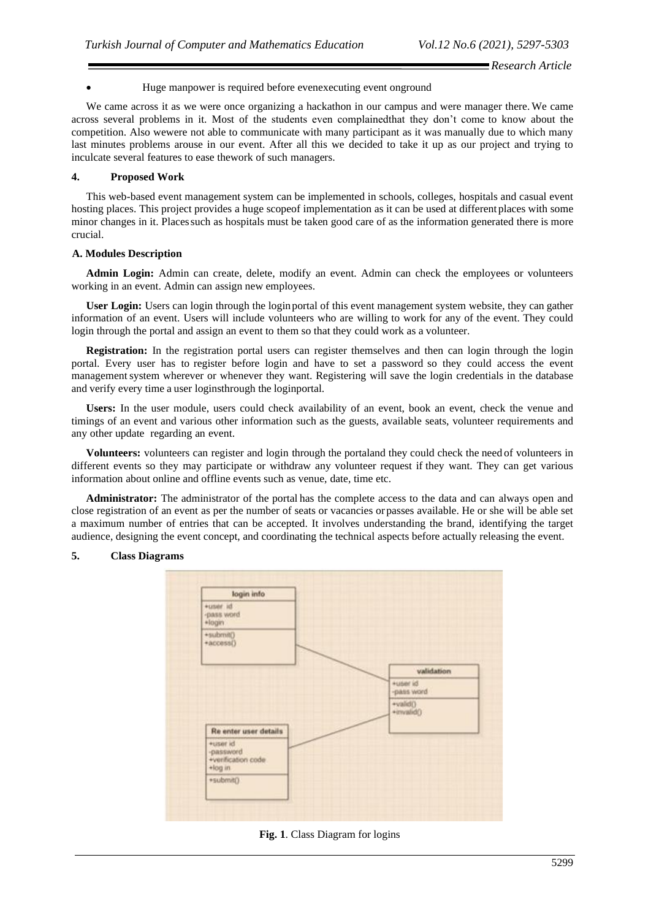#### • Huge manpower is required before evenexecuting event onground

We came across it as we were once organizing a hackathon in our campus and were manager there. We came across several problems in it. Most of the students even complainedthat they don't come to know about the competition. Also wewere not able to communicate with many participant as it was manually due to which many last minutes problems arouse in our event. After all this we decided to take it up as our project and trying to inculcate several features to ease thework of such managers.

#### **4. Proposed Work**

This web-based event management system can be implemented in schools, colleges, hospitals and casual event hosting places. This project provides a huge scopeof implementation as it can be used at different places with some minor changes in it. Placessuch as hospitals must be taken good care of as the information generated there is more crucial.

#### **A. Modules Description**

**Admin Login:** Admin can create, delete, modify an event. Admin can check the employees or volunteers working in an event. Admin can assign new employees.

**User Login:** Users can login through the loginportal of this event management system website, they can gather information of an event. Users will include volunteers who are willing to work for any of the event. They could login through the portal and assign an event to them so that they could work as a volunteer.

**Registration:** In the registration portal users can register themselves and then can login through the login portal. Every user has to register before login and have to set a password so they could access the event management system wherever or whenever they want. Registering will save the login credentials in the database and verify every time a user loginsthrough the loginportal.

**Users:** In the user module, users could check availability of an event, book an event, check the venue and timings of an event and various other information such as the guests, available seats, volunteer requirements and any other update regarding an event.

**Volunteers:** volunteers can register and login through the portaland they could check the need of volunteers in different events so they may participate or withdraw any volunteer request if they want. They can get various information about online and offline events such as venue, date, time etc.

**Administrator:** The administrator of the portal has the complete access to the data and can always open and close registration of an event as per the number of seats or vacancies orpasses available. He or she will be able set a maximum number of entries that can be accepted. It involves understanding the brand, identifying the target audience, designing the event concept, and coordinating the technical aspects before actually releasing the event.



# **5. Class Diagrams**

**Fig. 1**. Class Diagram for logins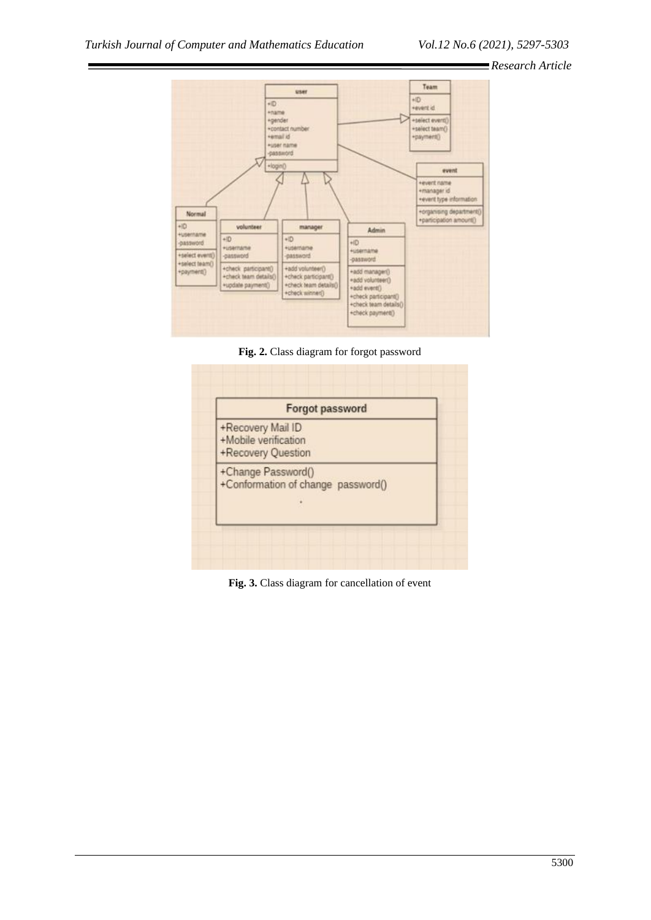

**Fig. 2.** Class diagram for forgot password

| <b>Forgot password</b>                                          |  |
|-----------------------------------------------------------------|--|
| +Recovery Mail ID<br>+Mobile verification<br>+Recovery Question |  |
| +Change Password()<br>+Conformation of change password()        |  |

**Fig. 3.** Class diagram for cancellation of event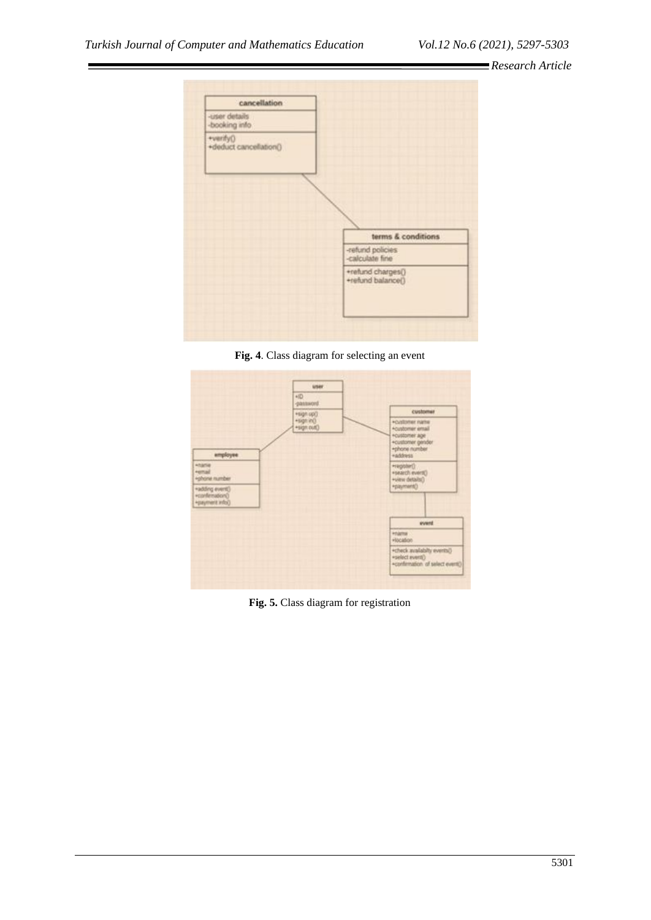

**Fig. 4**. Class diagram for selecting an event



**Fig. 5.** Class diagram for registration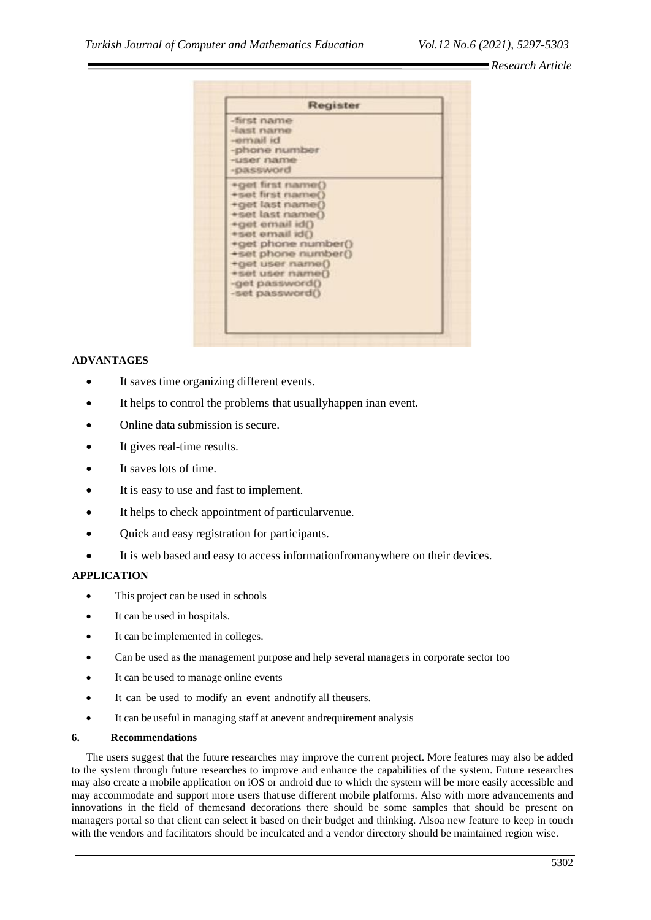| Register                                                                                                                                                                                                                                         |
|--------------------------------------------------------------------------------------------------------------------------------------------------------------------------------------------------------------------------------------------------|
| -first name<br>-last name<br>-email id.<br>-phone number<br>-user name<br>-password                                                                                                                                                              |
| +get first name()<br>+set first name()<br>+get last name()<br>+set last name()<br>+get email id()<br>+set email id()<br>*get phone number()<br>+set phone number()<br>+get user name()<br>*set user name()<br>-get password()<br>-set password() |

# **ADVANTAGES**

- It saves time organizing different events.
- It helps to control the problems that usuallyhappen inan event.
- Online data submission is secure.
- It gives real-time results.
- It saves lots of time.
- It is easy to use and fast to implement.
- It helps to check appointment of particular venue.
- Ouick and easy registration for participants.
- It is web based and easy to access informationfromanywhere on their devices.

# **APPLICATION**

- This project can be used in schools
- It can be used in hospitals.
- It can be implemented in colleges.
- Can be used as the management purpose and help several managers in corporate sector too
- It can be used to manage online events
- It can be used to modify an event andnotify all theusers.
- It can be useful in managing staff at anevent andrequirement analysis

#### **6. Recommendations**

The users suggest that the future researches may improve the current project. More features may also be added to the system through future researches to improve and enhance the capabilities of the system. Future researches may also create a mobile application on iOS or android due to which the system will be more easily accessible and may accommodate and support more users that use different mobile platforms. Also with more advancements and innovations in the field of themesand decorations there should be some samples that should be present on managers portal so that client can select it based on their budget and thinking. Alsoa new feature to keep in touch with the vendors and facilitators should be inculcated and a vendor directory should be maintained region wise.